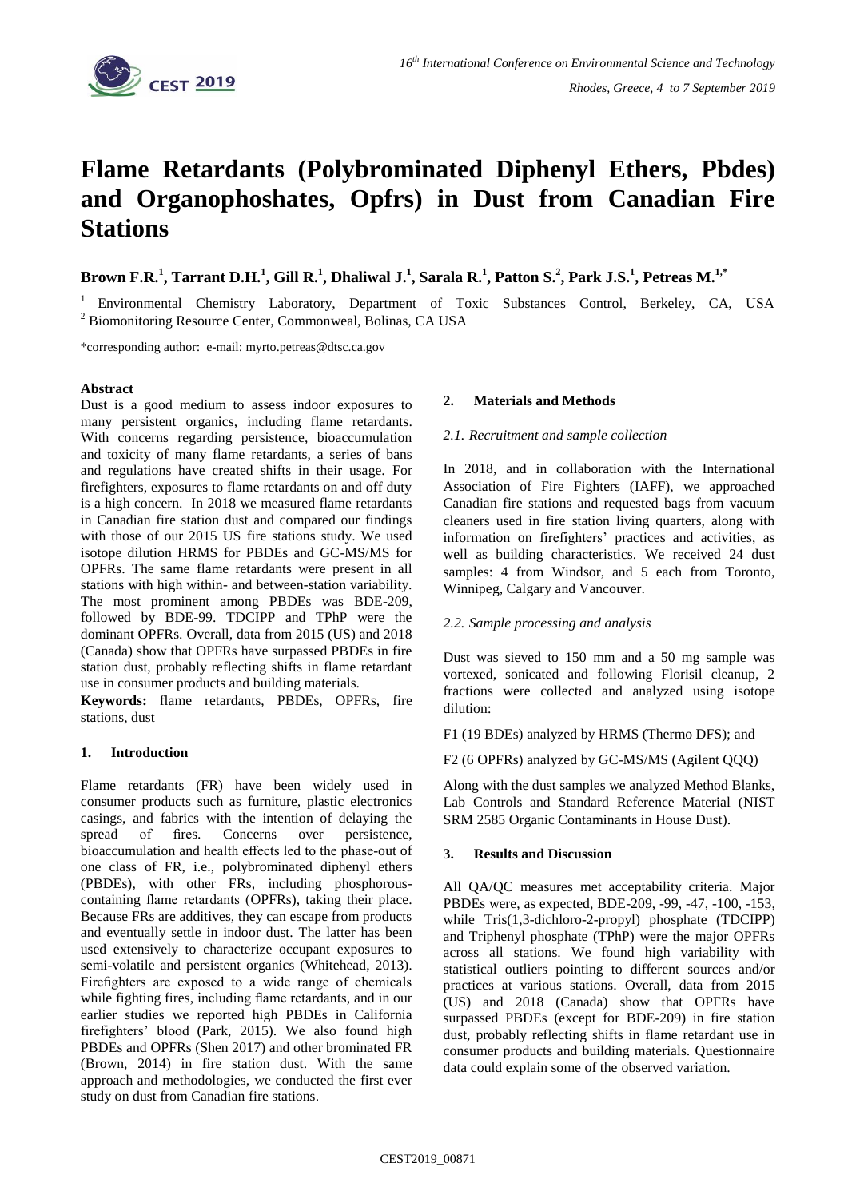

# **Flame Retardants (Polybrominated Diphenyl Ethers, Pbdes) and Organophoshates, Opfrs) in Dust from Canadian Fire Stations**

Brown F.R.<sup>1</sup>, Tarrant D.H.<sup>1</sup>, Gill R.<sup>1</sup>, Dhaliwal J.<sup>1</sup>, Sarala R.<sup>1</sup>, Patton S.<sup>2</sup>, Park J.S.<sup>1</sup>, Petreas M.<sup>1,\*</sup>

<sup>1</sup> Environmental Chemistry Laboratory, Department of Toxic Substances Control, Berkeley, CA, USA <sup>2</sup> Biomonitoring Resource Center, Commonweal, Bolinas, CA USA

\*corresponding author: e-mail: myrto.petreas@dtsc.ca.gov

## **Abstract**

Dust is a good medium to assess indoor exposures to many persistent organics, including flame retardants. With concerns regarding persistence, bioaccumulation and toxicity of many flame retardants, a series of bans and regulations have created shifts in their usage. For firefighters, exposures to flame retardants on and off duty is a high concern. In 2018 we measured flame retardants in Canadian fire station dust and compared our findings with those of our 2015 US fire stations study. We used isotope dilution HRMS for PBDEs and GC-MS/MS for OPFRs. The same flame retardants were present in all stations with high within- and between-station variability. The most prominent among PBDEs was BDE-209, followed by BDE-99. TDCIPP and TPhP were the dominant OPFRs. Overall, data from 2015 (US) and 2018 (Canada) show that OPFRs have surpassed PBDEs in fire station dust, probably reflecting shifts in flame retardant use in consumer products and building materials.

**Keywords:** flame retardants, PBDEs, OPFRs, fire stations, dust

# **1. Introduction**

Flame retardants (FR) have been widely used in consumer products such as furniture, plastic electronics casings, and fabrics with the intention of delaying the spread of fires. Concerns over persistence, bioaccumulation and health effects led to the phase-out of one class of FR, i.e., polybrominated diphenyl ethers (PBDEs), with other FRs, including phosphorouscontaining flame retardants (OPFRs), taking their place. Because FRs are additives, they can escape from products and eventually settle in indoor dust. The latter has been used extensively to characterize occupant exposures to semi-volatile and persistent organics (Whitehead, 2013). Firefighters are exposed to a wide range of chemicals while fighting fires, including flame retardants, and in our earlier studies we reported high PBDEs in California firefighters' blood (Park, 2015). We also found high PBDEs and OPFRs (Shen 2017) and other brominated FR (Brown, 2014) in fire station dust. With the same approach and methodologies, we conducted the first ever study on dust from Canadian fire stations.

# **2. Materials and Methods**

#### *2.1. Recruitment and sample collection*

In 2018, and in collaboration with the International Association of Fire Fighters (IAFF), we approached Canadian fire stations and requested bags from vacuum cleaners used in fire station living quarters, along with information on firefighters' practices and activities, as well as building characteristics. We received 24 dust samples: 4 from Windsor, and 5 each from Toronto, Winnipeg, Calgary and Vancouver.

## *2.2. Sample processing and analysis*

Dust was sieved to 150 mm and a 50 mg sample was vortexed, sonicated and following Florisil cleanup, 2 fractions were collected and analyzed using isotope dilution:

F1 (19 BDEs) analyzed by HRMS (Thermo DFS); and

F2 (6 OPFRs) analyzed by GC-MS/MS (Agilent QQQ)

Along with the dust samples we analyzed Method Blanks, Lab Controls and Standard Reference Material (NIST SRM 2585 Organic Contaminants in House Dust).

## **3. Results and Discussion**

All QA/QC measures met acceptability criteria. Major PBDEs were, as expected, BDE-209, -99, -47, -100, -153, while Tris(1,3-dichloro-2-propyl) phosphate (TDCIPP) and Triphenyl phosphate (TPhP) were the major OPFRs across all stations. We found high variability with statistical outliers pointing to different sources and/or practices at various stations. Overall, data from 2015 (US) and 2018 (Canada) show that OPFRs have surpassed PBDEs (except for BDE-209) in fire station dust, probably reflecting shifts in flame retardant use in consumer products and building materials. Questionnaire data could explain some of the observed variation.